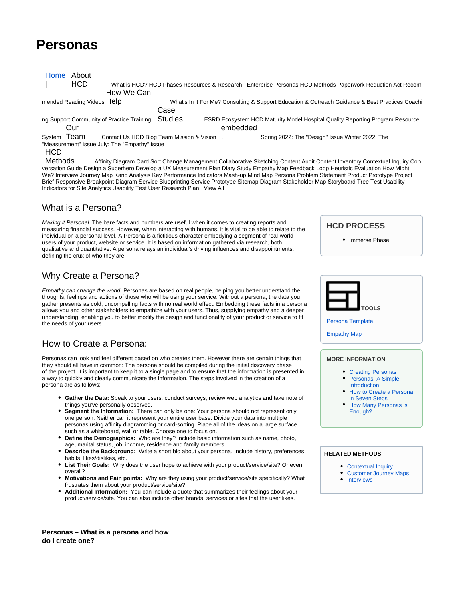# **Personas**

| About<br>Home                                 |                                                                                                            |                                                                                                        |          |                                                                                                                             |
|-----------------------------------------------|------------------------------------------------------------------------------------------------------------|--------------------------------------------------------------------------------------------------------|----------|-----------------------------------------------------------------------------------------------------------------------------|
| <b>HCD</b>                                    | What is HCD? HCD Phases Resources & Research Enterprise Personas HCD Methods Paperwork Reduction Act Recom |                                                                                                        |          |                                                                                                                             |
|                                               | How We Can                                                                                                 |                                                                                                        |          |                                                                                                                             |
| mended Reading Videos Help                    |                                                                                                            | What's In it For Me? Consulting & Support Education & Outreach Guidance & Best Practices Coachi        |          |                                                                                                                             |
|                                               |                                                                                                            | Case                                                                                                   |          |                                                                                                                             |
| ng Support Community of Practice Training     |                                                                                                            | <b>Studies</b><br><b>ESRD Ecosystem HCD Maturity Model Hospital Quality Reporting Program Resource</b> |          |                                                                                                                             |
| Our                                           |                                                                                                            |                                                                                                        | embedded |                                                                                                                             |
| System Team                                   | Contact Us HCD Blog Team Mission & Vision.                                                                 |                                                                                                        |          | Spring 2022: The "Design" Issue Winter 2022: The                                                                            |
| "Measurement" Issue July: The "Empathy" Issue |                                                                                                            |                                                                                                        |          |                                                                                                                             |
| <b>HCD</b>                                    |                                                                                                            |                                                                                                        |          |                                                                                                                             |
| Methods                                       |                                                                                                            |                                                                                                        |          | Affinity Diagram Card Sort Change Management Collaborative Sketching Content Audit Content Inventory Contextual Inquiry Con |
|                                               |                                                                                                            |                                                                                                        |          |                                                                                                                             |

versation Guide Design a Superhero Develop a UX Measurement Plan Diary Study Empathy Map Feedback Loop Heuristic Evaluation How Might We? Interview Journey Map Kano Analysis Key Performance Indicators Mash-up Mind Map Persona Problem Statement Product Prototype Project Brief Responsive Breakpoint Diagram Service Blueprinting Service Prototype Sitemap Diagram Stakeholder Map Storyboard Tree Test Usability Indicators for Site Analytics Usability Test User Research Plan View All

### What is a Persona?

Making it Personal. The bare facts and numbers are useful when it comes to creating reports and measuring financial success. However, when interacting with humans, it is vital to be able to relate to the individual on a personal level. A Persona is a fictitious character embodying a segment of real-world users of your product, website or service. It is based on information gathered via research, both qualitative and quantitative. A persona relays an individual's driving influences and disappointments, defining the crux of who they are.

## Why Create a Persona?

Empathy can change the world. Personas are based on real people, helping you better understand the thoughts, feelings and actions of those who will be using your service. Without a persona, the data you gather presents as cold, uncompelling facts with no real world effect. Embedding these facts in a persona allows you and other stakeholders to empathize with your users. Thus, supplying empathy and a deeper understanding, enabling you to better modify the design and functionality of your product or service to fit the needs of your users.

## How to Create a Persona:

Personas can look and feel different based on who creates them. However there are certain things that they should all have in common: The persona should be compiled during the initial discovery phase of the project. It is important to keep it to a single page and to ensure that the information is presented in a way to quickly and clearly communicate the information. The steps involved in the creation of a persona are as follows:

- **Gather the Data:** Speak to your users, conduct surveys, review web analytics and take note of things you've personally observed.
- **Segment the Information:** There can only be one: Your persona should not represent only one person. Neither can it represent your entire user base. Divide your data into multiple personas using affinity diagramming or card-sorting. Place all of the ideas on a large surface such as a whiteboard, wall or table. Choose one to focus on.
- **Define the Demographics:** Who are they? Include basic information such as name, photo, age, marital status, job, income, residence and family members.
- **Describe the Background:** Write a short bio about your persona. Include history, preferences, habits, likes/dislikes, etc.
- **List Their Goals:** Why does the user hope to achieve with your product/service/site? Or even overall?
- **Motivations and Pain points:** Why are they using your product/service/site specifically? What frustrates them about your product/service/site?
- **Additional Information:** You can include a quote that summarizes their feelings about your product/service/site. You can also include other brands, services or sites that the user likes.

**HCD PROCESS**

• Immerse Phase



[Empathy Map](https://qnetconfluence.cms.gov/download/attachments/39066924/empathy-map.pdf?version=1&modificationDate=1576693055431&api=v2)

### **MORE INFORMATION**

- [Creating Personas](https://www.uxbooth.com/articles/creating-personas/)
- $\bullet$ [Personas: A Simple](https://www.interaction-design.org/literature/article/personas-why-and-how-you-should-use-them)  [Introduction](https://www.interaction-design.org/literature/article/personas-why-and-how-you-should-use-them)
- How to Create a Persona [in Seven Steps](https://uxpressia.com/blog/how-to-create-persona-guide-examples)
- [How Many Personas is](http://How Many Personas is Enough)  [Enough?](http://How Many Personas is Enough)

#### **RELATED METHODS**

- [Contextual Inquiry](https://qnetconfluence.cms.gov/display/HCD/Contextual+Inquiry)
- [Customer Journey Maps](https://qnetconfluence.cms.gov/display/HCD/Customer+Journey+Maps)
- [Interviews](https://qnetconfluence.cms.gov/display/HCD/Interviews)

**Personas – What is a persona and how do I create one?**